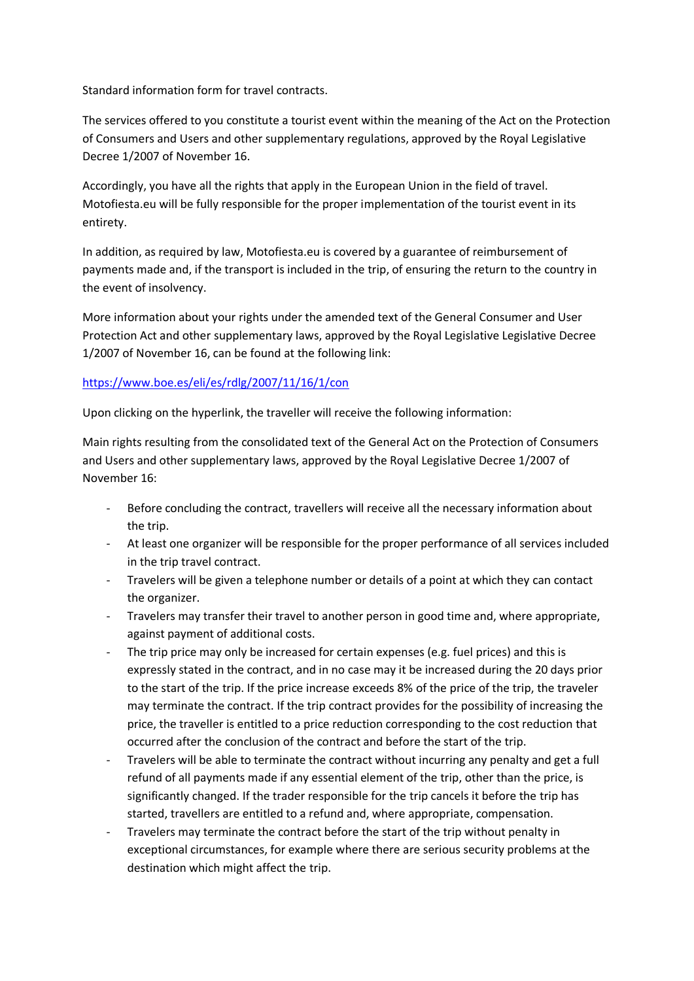Standard information form for travel contracts.

The services offered to you constitute a tourist event within the meaning of the Act on the Protection of Consumers and Users and other supplementary regulations, approved by the Royal Legislative Decree 1/2007 of November 16.

Accordingly, you have all the rights that apply in the European Union in the field of travel. Motofiesta.eu will be fully responsible for the proper implementation of the tourist event in its entirety.

In addition, as required by law, Motofiesta.eu is covered by a guarantee of reimbursement of payments made and, if the transport is included in the trip, of ensuring the return to the country in the event of insolvency.

More information about your rights under the amended text of the General Consumer and User Protection Act and other supplementary laws, approved by the Royal Legislative Legislative Decree 1/2007 of November 16, can be found at the following link:

## <https://www.boe.es/eli/es/rdlg/2007/11/16/1/con>

Upon clicking on the hyperlink, the traveller will receive the following information:

Main rights resulting from the consolidated text of the General Act on the Protection of Consumers and Users and other supplementary laws, approved by the Royal Legislative Decree 1/2007 of November 16:

- Before concluding the contract, travellers will receive all the necessary information about the trip.
- At least one organizer will be responsible for the proper performance of all services included in the trip travel contract.
- Travelers will be given a telephone number or details of a point at which they can contact the organizer.
- Travelers may transfer their travel to another person in good time and, where appropriate, against payment of additional costs.
- The trip price may only be increased for certain expenses (e.g. fuel prices) and this is expressly stated in the contract, and in no case may it be increased during the 20 days prior to the start of the trip. If the price increase exceeds 8% of the price of the trip, the traveler may terminate the contract. If the trip contract provides for the possibility of increasing the price, the traveller is entitled to a price reduction corresponding to the cost reduction that occurred after the conclusion of the contract and before the start of the trip.
- Travelers will be able to terminate the contract without incurring any penalty and get a full refund of all payments made if any essential element of the trip, other than the price, is significantly changed. If the trader responsible for the trip cancels it before the trip has started, travellers are entitled to a refund and, where appropriate, compensation.
- Travelers may terminate the contract before the start of the trip without penalty in exceptional circumstances, for example where there are serious security problems at the destination which might affect the trip.